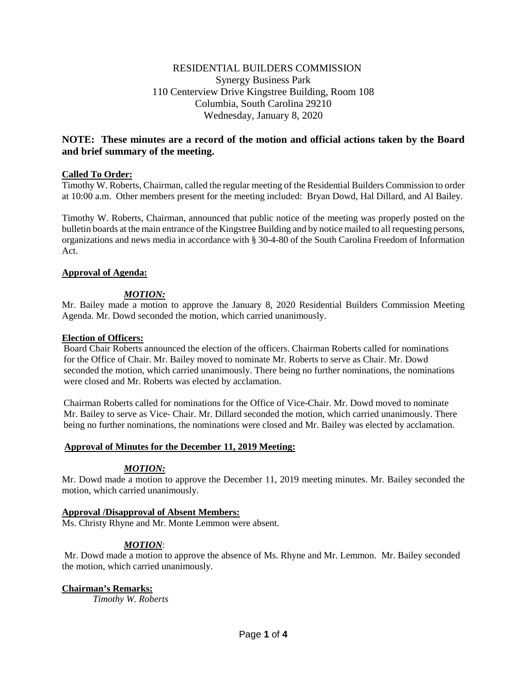# RESIDENTIAL BUILDERS COMMISSION Synergy Business Park 110 Centerview Drive Kingstree Building, Room 108 Columbia, South Carolina 29210 Wednesday, January 8, 2020

# **NOTE: These minutes are a record of the motion and official actions taken by the Board and brief summary of the meeting.**

# **Called To Order:**

Timothy W. Roberts, Chairman, called the regular meeting of the Residential Builders Commission to order at 10:00 a.m. Other members present for the meeting included: Bryan Dowd, Hal Dillard, and Al Bailey.

Timothy W. Roberts, Chairman, announced that public notice of the meeting was properly posted on the bulletin boards at the main entrance of the Kingstree Building and by notice mailed to all requesting persons, organizations and news media in accordance with § 30-4-80 of the South Carolina Freedom of Information Act.

# **Approval of Agenda:**

# *MOTION:*

Mr. Bailey made a motion to approve the January 8, 2020 Residential Builders Commission Meeting Agenda. Mr. Dowd seconded the motion, which carried unanimously.

#### **Election of Officers:**

Board Chair Roberts announced the election of the officers. Chairman Roberts called for nominations for the Office of Chair. Mr. Bailey moved to nominate Mr. Roberts to serve as Chair. Mr. Dowd seconded the motion, which carried unanimously. There being no further nominations, the nominations were closed and Mr. Roberts was elected by acclamation.

Chairman Roberts called for nominations for the Office of Vice-Chair. Mr. Dowd moved to nominate Mr. Bailey to serve as Vice- Chair. Mr. Dillard seconded the motion, which carried unanimously. There being no further nominations, the nominations were closed and Mr. Bailey was elected by acclamation.

### **Approval of Minutes for the December 11, 2019 Meeting:**

### *MOTION:*

Mr. Dowd made a motion to approve the December 11, 2019 meeting minutes. Mr. Bailey seconded the motion, which carried unanimously.

### **Approval /Disapproval of Absent Members:**

Ms. Christy Rhyne and Mr. Monte Lemmon were absent.

# *MOTION*:

Mr. Dowd made a motion to approve the absence of Ms. Rhyne and Mr. Lemmon. Mr. Bailey seconded the motion, which carried unanimously.

# **Chairman's Remarks:**

*Timothy W. Roberts*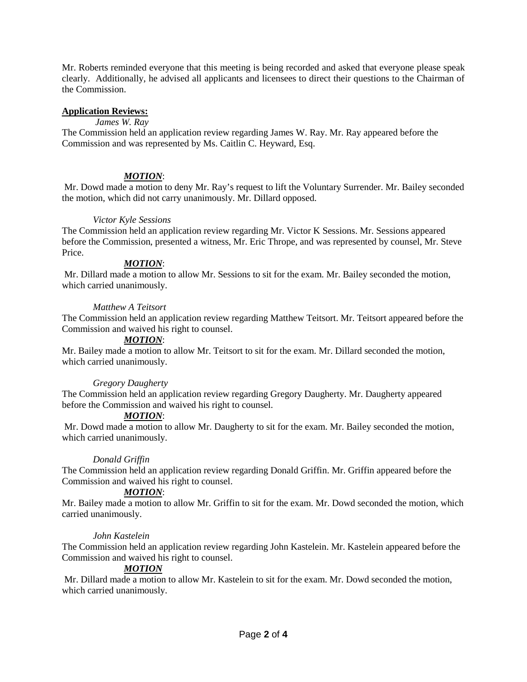Mr. Roberts reminded everyone that this meeting is being recorded and asked that everyone please speak clearly. Additionally, he advised all applicants and licensees to direct their questions to the Chairman of the Commission.

# **Application Reviews:**

# *James W. Ray*

The Commission held an application review regarding James W. Ray. Mr. Ray appeared before the Commission and was represented by Ms. Caitlin C. Heyward, Esq.

# *MOTION*:

Mr. Dowd made a motion to deny Mr. Ray's request to lift the Voluntary Surrender. Mr. Bailey seconded the motion, which did not carry unanimously. Mr. Dillard opposed.

# *Victor Kyle Sessions*

The Commission held an application review regarding Mr. Victor K Sessions. Mr. Sessions appeared before the Commission, presented a witness, Mr. Eric Thrope, and was represented by counsel, Mr. Steve Price.

# *MOTION*:

Mr. Dillard made a motion to allow Mr. Sessions to sit for the exam. Mr. Bailey seconded the motion, which carried unanimously.

# *Matthew A Teitsort*

The Commission held an application review regarding Matthew Teitsort. Mr. Teitsort appeared before the Commission and waived his right to counsel.

# *MOTION*:

Mr. Bailey made a motion to allow Mr. Teitsort to sit for the exam. Mr. Dillard seconded the motion, which carried unanimously.

# *Gregory Daugherty*

The Commission held an application review regarding Gregory Daugherty. Mr. Daugherty appeared before the Commission and waived his right to counsel.

### *MOTION*:

Mr. Dowd made a motion to allow Mr. Daugherty to sit for the exam. Mr. Bailey seconded the motion, which carried unanimously.

# *Donald Griffin*

The Commission held an application review regarding Donald Griffin. Mr. Griffin appeared before the Commission and waived his right to counsel.

# *MOTION*:

Mr. Bailey made a motion to allow Mr. Griffin to sit for the exam. Mr. Dowd seconded the motion, which carried unanimously.

### *John Kastelein*

The Commission held an application review regarding John Kastelein. Mr. Kastelein appeared before the Commission and waived his right to counsel.

# *MOTION*

Mr. Dillard made a motion to allow Mr. Kastelein to sit for the exam. Mr. Dowd seconded the motion, which carried unanimously.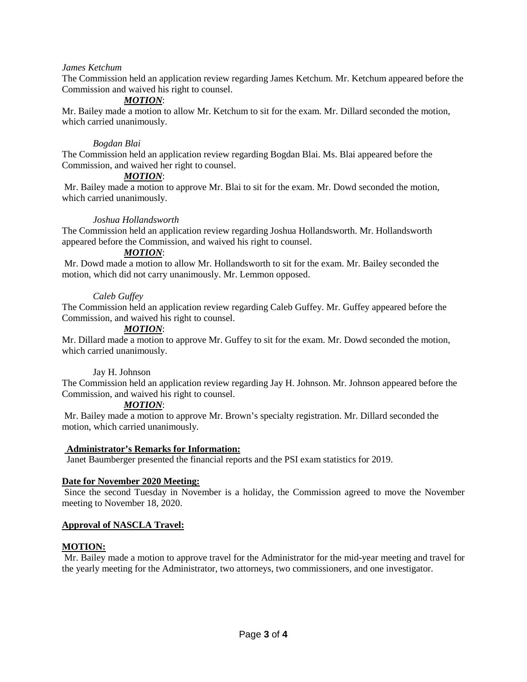### *James Ketchum*

The Commission held an application review regarding James Ketchum. Mr. Ketchum appeared before the Commission and waived his right to counsel.

# *MOTION*:

Mr. Bailey made a motion to allow Mr. Ketchum to sit for the exam. Mr. Dillard seconded the motion, which carried unanimously.

#### *Bogdan Blai*

The Commission held an application review regarding Bogdan Blai. Ms. Blai appeared before the Commission, and waived her right to counsel.

### *MOTION*:

Mr. Bailey made a motion to approve Mr. Blai to sit for the exam. Mr. Dowd seconded the motion, which carried unanimously.

#### *Joshua Hollandsworth*

The Commission held an application review regarding Joshua Hollandsworth. Mr. Hollandsworth appeared before the Commission, and waived his right to counsel.

#### *MOTION*:

Mr. Dowd made a motion to allow Mr. Hollandsworth to sit for the exam. Mr. Bailey seconded the motion, which did not carry unanimously. Mr. Lemmon opposed.

#### *Caleb Guffey*

The Commission held an application review regarding Caleb Guffey. Mr. Guffey appeared before the Commission, and waived his right to counsel.

#### *MOTION*:

Mr. Dillard made a motion to approve Mr. Guffey to sit for the exam. Mr. Dowd seconded the motion, which carried unanimously.

### Jay H. Johnson

The Commission held an application review regarding Jay H. Johnson. Mr. Johnson appeared before the Commission, and waived his right to counsel.

### *MOTION*:

Mr. Bailey made a motion to approve Mr. Brown's specialty registration. Mr. Dillard seconded the motion, which carried unanimously.

#### **Administrator's Remarks for Information:**

Janet Baumberger presented the financial reports and the PSI exam statistics for 2019.

#### **Date for November 2020 Meeting:**

Since the second Tuesday in November is a holiday, the Commission agreed to move the November meeting to November 18, 2020.

### **Approval of NASCLA Travel:**

### **MOTION:**

Mr. Bailey made a motion to approve travel for the Administrator for the mid-year meeting and travel for the yearly meeting for the Administrator, two attorneys, two commissioners, and one investigator.